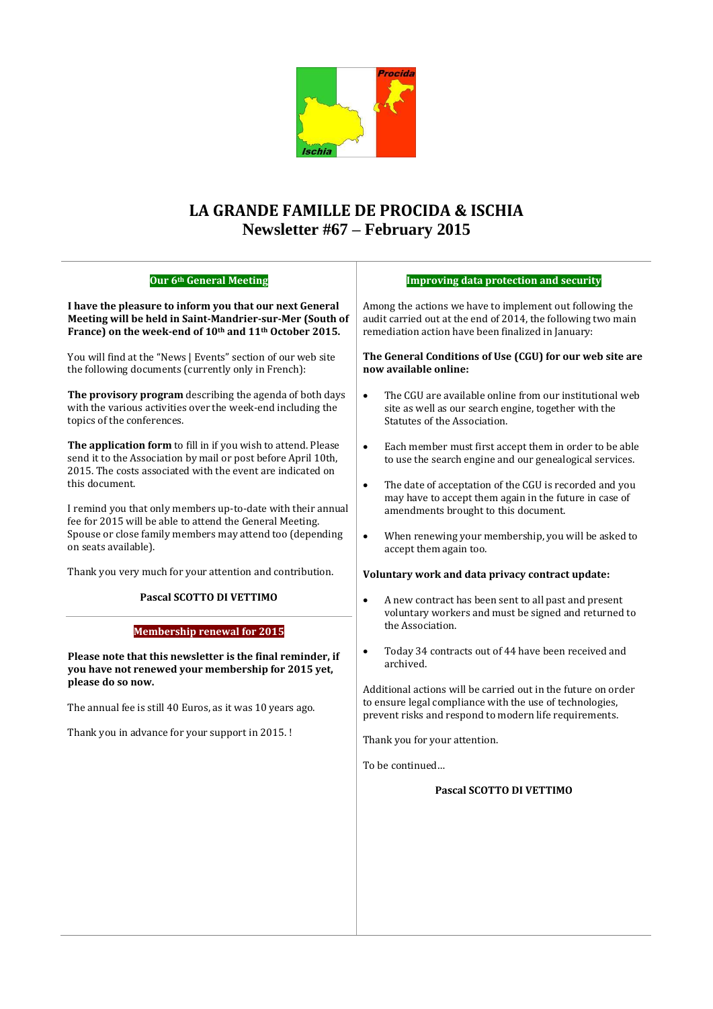

## **LA GRANDE FAMILLE DE PROCIDA & ISCHIA Newsletter #67 – February 2015**

| Our 6th General Meeting                                                                                                                                                                                        | <b>Improving data protection and security</b>                                                                                                                                                                                                                   |
|----------------------------------------------------------------------------------------------------------------------------------------------------------------------------------------------------------------|-----------------------------------------------------------------------------------------------------------------------------------------------------------------------------------------------------------------------------------------------------------------|
| I have the pleasure to inform you that our next General<br>Meeting will be held in Saint-Mandrier-sur-Mer (South of<br>France) on the week-end of 10th and 11th October 2015.                                  | Among the actions we have to implement out following the<br>audit carried out at the end of 2014, the following two main<br>remediation action have been finalized in January:                                                                                  |
| You will find at the "News   Events" section of our web site<br>the following documents (currently only in French):                                                                                            | The General Conditions of Use (CGU) for our web site are<br>now available online:                                                                                                                                                                               |
| The provisory program describing the agenda of both days<br>with the various activities over the week-end including the<br>topics of the conferences.                                                          | The CGU are available online from our institutional web<br>$\bullet$<br>site as well as our search engine, together with the<br>Statutes of the Association.                                                                                                    |
| The application form to fill in if you wish to attend. Please<br>send it to the Association by mail or post before April 10th,<br>2015. The costs associated with the event are indicated on<br>this document. | Each member must first accept them in order to be able<br>$\bullet$<br>to use the search engine and our genealogical services.<br>The date of acceptation of the CGU is recorded and you<br>$\bullet$<br>may have to accept them again in the future in case of |
| I remind you that only members up-to-date with their annual<br>fee for 2015 will be able to attend the General Meeting.<br>Spouse or close family members may attend too (depending<br>on seats available).    | amendments brought to this document.<br>When renewing your membership, you will be asked to<br>$\bullet$<br>accept them again too.                                                                                                                              |
| Thank you very much for your attention and contribution.                                                                                                                                                       | Voluntary work and data privacy contract update:                                                                                                                                                                                                                |
| Pascal SCOTTO DI VETTIMO<br><b>Membership renewal for 2015</b>                                                                                                                                                 | A new contract has been sent to all past and present<br>$\bullet$<br>voluntary workers and must be signed and returned to<br>the Association.                                                                                                                   |
| Please note that this newsletter is the final reminder, if<br>you have not renewed your membership for 2015 yet,                                                                                               | Today 34 contracts out of 44 have been received and<br>$\bullet$<br>archived.                                                                                                                                                                                   |
| please do so now.<br>The annual fee is still 40 Euros, as it was 10 years ago.                                                                                                                                 | Additional actions will be carried out in the future on order<br>to ensure legal compliance with the use of technologies,<br>prevent risks and respond to modern life requirements.                                                                             |
| Thank you in advance for your support in 2015. !                                                                                                                                                               | Thank you for your attention.                                                                                                                                                                                                                                   |
|                                                                                                                                                                                                                | To be continued                                                                                                                                                                                                                                                 |
|                                                                                                                                                                                                                | Pascal SCOTTO DI VETTIMO                                                                                                                                                                                                                                        |
|                                                                                                                                                                                                                |                                                                                                                                                                                                                                                                 |
|                                                                                                                                                                                                                |                                                                                                                                                                                                                                                                 |